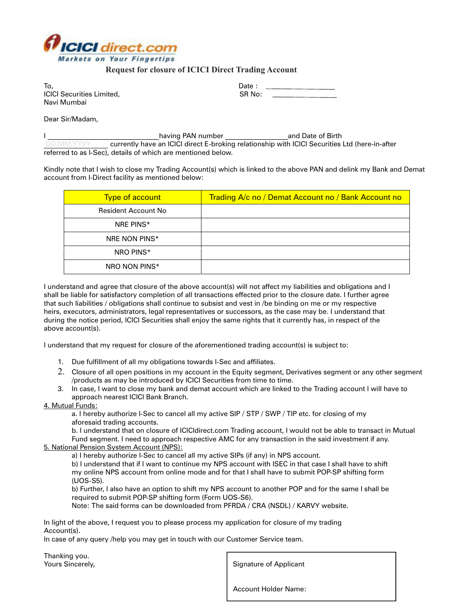

## **Request for closure of ICICI Direct Trading Account**

| To.                              | Date : |
|----------------------------------|--------|
| <b>ICICI Securities Limited,</b> | SR No: |
| Navi Mumbai                      |        |

Dear Sir/Madam,

|            | having PAN number                                            | and Date of Birth                                                                              |
|------------|--------------------------------------------------------------|------------------------------------------------------------------------------------------------|
| DD/MM/YYYY |                                                              | currently have an ICICI direct E-broking relationship with ICICI Securities Ltd (here-in-after |
|            | referred to as I-Sec), details of which are mentioned below. |                                                                                                |

Kindly note that I wish to close my Trading Account(s) which is linked to the above PAN and delink my Bank and Demat account from I-Direct facility as mentioned below:

| <b>Type of account</b>     | Trading A/c no / Demat Account no / Bank Account no |
|----------------------------|-----------------------------------------------------|
| <b>Resident Account No</b> |                                                     |
| NRF PINS*                  |                                                     |
| NRE NON PINS*              |                                                     |
| NRO PINS*                  |                                                     |
| NRO NON PINS*              |                                                     |

I understand and agree that closure of the above account(s) will not affect my liabilities and obligations and I shall be liable for satisfactory completion of all transactions effected prior to the closure date. I further agree that such liabilities / obligations shall continue to subsist and vest in /be binding on me or my respective heirs, executors, administrators, legal representatives or successors, as the case may be. I understand that during the notice period, ICICI Securities shall enjoy the same rights that it currently has, in respect of the above account(s).

I understand that my request for closure of the aforementioned trading account(s) is subject to:

- 1. Due fulfillment of all my obligations towards I-Sec and affiliates.
- 2. Closure of all open positions in my account in the Equity segment, Derivatives segment or any other segment /products as may be introduced by ICICI Securities from time to time.
- 3. In case, I want to close my bank and demat account which are linked to the Trading account I will have to approach nearest ICICI Bank Branch.

## 4. Mutual Funds:

a. I hereby authorize I-Sec to cancel all my active SIP / STP / SWP / TIP etc. for closing of my aforesaid trading accounts.

b. I understand that on closure of ICICIdirect.com Trading account, I would not be able to transact in Mutual Fund segment. I need to approach respective AMC for any transaction in the said investment if any.

5. National Pension System Account (NPS):

a) I hereby authorize I-Sec to cancel all my active SIPs (if any) in NPS account.

b) I understand that if I want to continue my NPS account with ISEC in that case I shall have to shift my online NPS account from online mode and for that I shall have to submit POP-SP shifting form (UOS-S5).

b) Further, I also have an option to shift my NPS account to another POP and for the same I shall be required to submit POP-SP shifting form (Form UOS-S6).

Note: The said forms can be downloaded from PFRDA / CRA (NSDL) / KARVY website.

In light of the above, I request you to please process my application for closure of my trading Account(s).

In case of any query /help you may get in touch with our Customer Service team.

Thanking you.

Yours Sincerely, The Superson of Applicant Signature of Applicant

Account Holder Name: